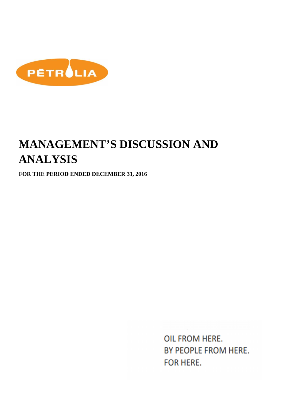

# **MANAGEMENT'S DISCUSSION AND ANALYSIS**

**FOR THE PERIOD ENDED DECEMBER 31, 2016**

OIL FROM HERE. BY PEOPLE FROM HERE. **FOR HERE.**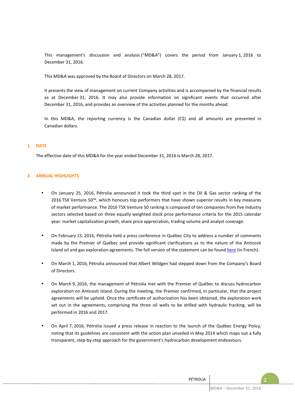This management's discussion and analysis ("MD&A") covers the period from January 1, 2016 to December 31, 2016.

This MD&A was approved by the Board of Directors on March 28, 2017.

It presents the view of management on current Company activities and is accompanied by the financial results as at December 31, 2016. It may also provide information on significant events that occurred after December 31, 2016, and provides an overview of the activities planned for the months ahead.

In this MD&A, the reporting currency is the Canadian dollar (C\$) and all amounts are presented in Canadian dollars.

## **1. DATE**

The effective date of this MD&A for the year ended December 31, 2016 is March 28, 2017.

## **2. ANNUAL HIGHLIGHTS**

- On January 25, 2016, Pétrolia announced it took the third spot in the Oil & Gas sector ranking of the 2016 TSX Venture 50™, which honours top performers that have shown superior results in key measures of market performance. The 2016 TSX Venture 50 ranking is composed of ten companies from five industry sectors selected based on three equally weighted stock price performance criteria for the 2015 calendar year: market capitalization growth, share price appreciation, trading volume and analyst coverage.
- On February 15, 2016, Pétrolia held a press conference in Québec City to address a number of comments made by the Premier of Québec and provide significant clarifications as to the nature of the Anticosti Island oil and gas exploration agreements. The full version of the statement can be found here (in French).
- On March 1, 2016, Pétrolia announced that Albert Wildgen had stepped down from the Company's Board of Directors.
- On March 9, 2016, the management of Pétrolia met with the Premier of Québec to discuss hydrocarbon exploration on Anticosti Island. During the meeting, the Premier confirmed, in particular, that the project agreements will be upheld. Once the certificate of authorization has been obtained, the exploration work set out in the agreements, comprising the three oil wells to be drilled with hydraulic fracking, will be performed in 2016 and 2017.
- On April 7, 2016, Pétrolia issued a press release in reaction to the launch of the Québec Energy Policy, noting that its guidelines are consistent with the action plan unveiled in May 2014 which maps out a fully transparent, step-by-step approach for the government's hydrocarbon development endeavours.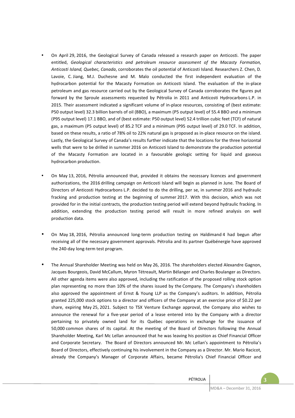- On April 29, 2016, the Geological Survey of Canada released a research paper on Anticosti. The paper entitled, *Geological characteristics and petroleum resource assessment of the Macasty Formation, Anticosti Island, Quebec, Canada*, corroborates the oil potential of Anticosti Island. Researchers Z. Chen, D. Lavoie, C. Jiang, M.J. Duchesne and M. Malo conducted the first independent evaluation of the hydrocarbon potential for the Macasty Formation on Anticosti Island. The evaluation of the in-place petroleum and gas resource carried out by the Geological Survey of Canada corroborates the figures put forward by the Sproule assessments requested by Pétrolia in 2011 and Anticosti Hydrocarbons L.P. in 2015. Their assessment indicated a significant volume of in-place resources, consisting of (best estimate: P50 output level) 32.3 billion barrels of oil (BBO), a maximum (P5 output level) of 55.4 BBO and a minimum (P95 output level) 17.1 BBO, and of (best estimate: P50 output level) 52.4 trillion cubic feet (TCF) of natural gas, a maximum (P5 output level) of 85.2 TCF and a minimum (P95 output level) of 29.0 TCF. In addition, based on these results, a ratio of 78% oil to 22% natural gas is proposed as in-place resource on the island. Lastly, the Geological Survey of Canada's results further indicate that the locations for the three horizontal wells that were to be drilled in summer 2016 on Anticosti Island to demonstrate the production potential of the Macasty Formation are located in a favourable geologic setting for liquid and gaseous hydrocarbon production.
- On May 13, 2016, Pétrolia announced that, provided it obtains the necessary licences and government authorizations, the 2016 drilling campaign on Anticosti Island will begin as planned in June. The Board of Directors of Anticosti Hydrocarbons L.P. decided to do the drilling, per se, in summer 2016 and hydraulic fracking and production testing at the beginning of summer 2017. With this decision, which was not provided for in the initial contracts, the production testing period will extend beyond hydraulic fracking. In addition, extending the production testing period will result in more refined analysis on well production data.
- On May 18, 2016, Pétrolia announced long-term production testing on Haldimand 4 had begun after receiving all of the necessary government approvals. Pétrolia and its partner Québénergie have approved the 240-day long-term test program.
- The Annual Shareholder Meeting was held on May 26, 2016. The shareholders elected Alexandre Gagnon, Jacques Bourgeois, David McCallum, Myron Tétreault, Martin Bélanger and Charles Boulanger as Directors. All other agenda items were also approved, including the ratification of the proposed rolling stock option plan representing no more than 10% of the shares issued by the Company. The Company's shareholders also approved the appointment of Ernst & Young LLP as the Company's auditors. In addition, Pétrolia granted 225,000 stock options to a director and officers of the Company at an exercise price of \$0.22 per share, expiring May 25, 2021. Subject to TSX Venture Exchange approval, the Company also wishes to announce the renewal for a five-year period of a lease entered into by the Company with a director pertaining to privately owned land for its Québec operations in exchange for the issuance of 50,000 common shares of its capital. At the meeting of the Board of Directors following the Annual Shareholder Meeting, Karl Mc Lellan announced that he was leaving his position as Chief Financial Officer and Corporate Secretary. The Board of Directors announced Mr. Mc Lellan's appointment to Pétrolia's Board of Directors, effectively continuing his involvement in the Company as a Director. Mr. Mario Racicot, already the Company's Manager of Corporate Affairs, became Pétrolia's Chief Financial Officer and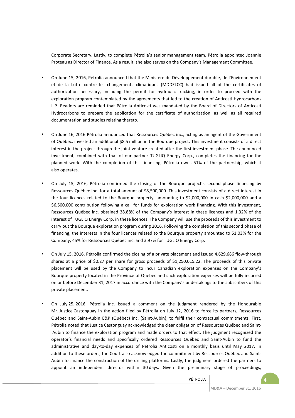Corporate Secretary. Lastly, to complete Pétrolia's senior management team, Pétrolia appointed Joannie Proteau as Director of Finance. As a result, she also serves on the Company's Management Committee.

- On June 15, 2016, Pétrolia announced that the Ministère du Développement durable, de l'Environnement et de la Lutte contre les changements climatiques (MDDELCC) had issued all of the certificates of authorization necessary, including the permit for hydraulic fracking, in order to proceed with the exploration program contemplated by the agreements that led to the creation of Anticosti Hydrocarbons L.P. Readers are reminded that Pétrolia Anticosti was mandated by the Board of Directors of Anticosti Hydrocarbons to prepare the application for the certificate of authorization, as well as all required documentation and studies relating thereto.
- On June 16, 2016 Pétrolia announced that Ressources Québec inc., acting as an agent of the Government of Québec, invested an additional \$8.5 million in the Bourque project. This investment consists of a direct interest in the project through the joint venture created after the first investment phase. The announced investment, combined with that of our partner TUGLIQ Energy Corp., completes the financing for the planned work. With the completion of this financing, Pétrolia owns 51% of the partnership, which it also operates.
- On July 15, 2016, Pétrolia confirmed the closing of the Bourque project's second phase financing by Ressources Québec inc. for a total amount of \$8,500,000. This investment consists of a direct interest in the four licences related to the Bourque property, amounting to \$2,000,000 in cash \$2,000,000 and a \$6,500,000 contribution following a call for funds for exploration work financing. With this investment, Ressources Québec inc. obtained 38.88% of the Company's interest in these licences and 1.32% of the interest of TUGLIQ Energy Corp. in these licences. The Company will use the proceeds of this investment to carry out the Bourque exploration program during 2016. Following the completion of this second phase of financing, the interests in the four licences related to the Bourque property amounted to 51.03% for the Company, 45% for Ressources Québec inc. and 3.97% for TUGLIQ Energy Corp.
- On July 15, 2016, Pétrolia confirmed the closing of a private placement and issued 4,629,686 flow-through shares at a price of \$0.27 per share for gross proceeds of \$1,250,015.22. The proceeds of this private placement will be used by the Company to incur Canadian exploration expenses on the Company's Bourque property located in the Province of Québec and such exploration expenses will be fully incurred on or before December 31, 2017 in accordance with the Company's undertakings to the subscribers of this private placement.
- On July 25, 2016, Pétrolia Inc. issued a comment on the judgment rendered by the Honourable Mr. Justice Castonguay in the action filed by Pétrolia on July 12, 2016 to force its partners, Ressources Québec and Saint-Aubin E&P (Québec) inc. (Saint-Aubin), to fulfil their contractual commitments. First, Pétrolia noted that Justice Castonguay acknowledged the clear obligation of Ressources Québec and Saint- Aubin to finance the exploration program and made orders to that effect. The judgment recognized the operator's financial needs and specifically ordered Ressources Québec and Saint-Aubin to fund the administrative and day-to-day expenses of Pétrolia Anticosti on a monthly basis until May 2017. In addition to these orders, the Court also acknowledged the commitment by Ressources Québec and Saint-Aubin to finance the construction of the drilling platforms. Lastly, the judgment ordered the partners to appoint an independent director within 30 days. Given the preliminary stage of proceedings,

PÉTROLIA **4**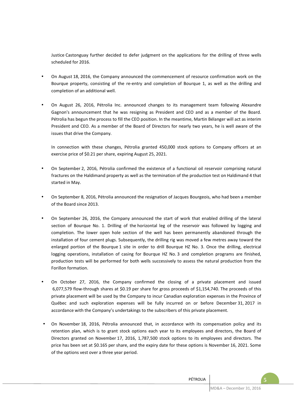Justice Castonguay further decided to defer judgment on the applications for the drilling of three wells scheduled for 2016.

- On August 18, 2016, the Company announced the commencement of resource confirmation work on the Bourque property, consisting of the re-entry and completion of Bourque 1, as well as the drilling and completion of an additional well.
- On August 26, 2016, Pétrolia Inc. announced changes to its management team following Alexandre Gagnon's announcement that he was resigning as President and CEO and as a member of the Board. Pétrolia has begun the process to fill the CEO position. In the meantime, Martin Bélanger will act as interim President and CEO. As a member of the Board of Directors for nearly two years, he is well aware of the issues that drive the Company.

In connection with these changes, Pétrolia granted 450,000 stock options to Company officers at an exercise price of \$0.21 per share, expiring August 25, 2021.

- On September 2, 2016, Pétrolia confirmed the existence of a functional oil reservoir comprising natural fractures on the Haldimand property as well as the termination of the production test on Haldimand 4 that started in May.
- On September 8, 2016, Pétrolia announced the resignation of Jacques Bourgeois, who had been a member of the Board since 2013.
- On September 26, 2016, the Company announced the start of work that enabled drilling of the lateral section of Bourque No. 1. Drilling of the horizontal leg of the reservoir was followed by logging and completion. The lower open hole section of the well has been permanently abandoned through the installation of four cement plugs. Subsequently, the drilling rig was moved a few metres away toward the enlarged portion of the Bourque 1 site in order to drill Bourque HZ No. 3. Once the drilling, electrical logging operations, installation of casing for Bourque HZ No. 3 and completion programs are finished, production tests will be performed for both wells successively to assess the natural production from the Forillon formation.
- On October 27, 2016, the Company confirmed the closing of a private placement and issued 6,077,579 flow-through shares at \$0.19 per share for gross proceeds of \$1,154,740. The proceeds of this private placement will be used by the Company to incur Canadian exploration expenses in the Province of Québec and such exploration expenses will be fully incurred on or before December 31, 2017 in accordance with the Company's undertakings to the subscribers of this private placement.
- On November 18, 2016, Pétrolia announced that, in accordance with its compensation policy and its retention plan, which is to grant stock options each year to its employees and directors, the Board of Directors granted on November 17, 2016, 1,787,500 stock options to its employees and directors. The price has been set at \$0.165 per share, and the expiry date for these options is November 16, 2021. Some of the options vest over a three year period.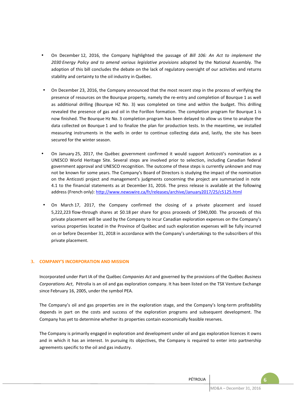- On December 12, 2016, the Company highlighted the passage of *Bill 106: An Act to implement the 2030 Energy Policy and to amend various legislative provisions* adopted by the National Assembly. The adoption of this bill concludes the debate on the lack of regulatory oversight of our activities and returns stability and certainty to the oil industry in Québec.
- On December 23, 2016, the Company announced that the most recent step in the process of verifying the presence of resources on the Bourque property, namely the re-entry and completion of Bourque 1 as well as additional drilling (Bourque HZ No. 3) was completed on time and within the budget. This drilling revealed the presence of gas and oil in the Forillon formation. The completion program for Bourque 1 is now finished. The Bourque Hz No. 3 completion program has been delayed to allow us time to analyze the data collected on Bourque 1 and to finalize the plan for production tests. In the meantime, we installed measuring instruments in the wells in order to continue collecting data and, lastly, the site has been secured for the winter season.
- On January 25, 2017, the Québec government confirmed it would support Anticosti's nomination as a UNESCO World Heritage Site. Several steps are involved prior to selection, including Canadian federal government approval and UNESCO recognition. The outcome of these steps is currently unknown and may not be known for some years. The Company's Board of Directors is studying the impact of the nomination on the Anticosti project and management's judgments concerning the project are summarized in note 4.1 to the financial statements as at December 31, 2016. The press release is available at the following address (French only): http://www.newswire.ca/fr/releases/archive/January2017/25/c5125.html
- On March 17, 2017, the Company confirmed the closing of a private placement and issued 5,222,223 flow-through shares at \$0.18 per share for gross proceeds of \$940,000. The proceeds of this private placement will be used by the Company to incur Canadian exploration expenses on the Company's various properties located in the Province of Québec and such exploration expenses will be fully incurred on or before December 31, 2018 in accordance with the Company's undertakings to the subscribers of this private placement.

# **3. COMPANY'S INCORPORATION AND MISSION**

Incorporated under Part IA of the Québec *Companies Act* and governed by the provisions of the Québec *Business Corporations Act*, Pétrolia is an oil and gas exploration company. It has been listed on the TSX Venture Exchange since February 16, 2005, under the symbol PEA.

The Company's oil and gas properties are in the exploration stage, and the Company's long-term profitability depends in part on the costs and success of the exploration programs and subsequent development. The Company has yet to determine whether its properties contain economically feasible reserves.

The Company is primarily engaged in exploration and development under oil and gas exploration licences it owns and in which it has an interest. In pursuing its objectives, the Company is required to enter into partnership agreements specific to the oil and gas industry.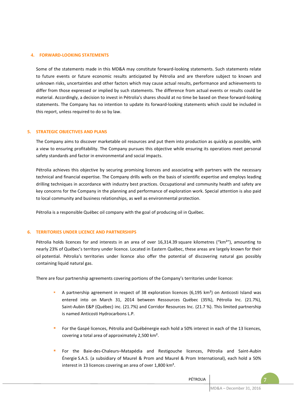#### **4. FORWARD-LOOKING STATEMENTS**

Some of the statements made in this MD&A may constitute forward-looking statements. Such statements relate to future events or future economic results anticipated by Pétrolia and are therefore subject to known and unknown risks, uncertainties and other factors which may cause actual results, performance and achievements to differ from those expressed or implied by such statements. The difference from actual events or results could be material. Accordingly, a decision to invest in Pétrolia's shares should at no time be based on these forward-looking statements. The Company has no intention to update its forward-looking statements which could be included in this report, unless required to do so by law.

#### **5. STRATEGIC OBJECTIVES AND PLANS**

The Company aims to discover marketable oil resources and put them into production as quickly as possible, with a view to ensuring profitability. The Company pursues this objective while ensuring its operations meet personal safety standards and factor in environmental and social impacts.

Pétrolia achieves this objective by securing promising licences and associating with partners with the necessary technical and financial expertise. The Company drills wells on the basis of scientific expertise and employs leading drilling techniques in accordance with industry best practices. Occupational and community health and safety are key concerns for the Company in the planning and performance of exploration work. Special attention is also paid to local community and business relationships, as well as environmental protection.

Pétrolia is a responsible Québec oil company with the goal of producing oil in Québec.

#### **6. TERRITORIES UNDER LICENCE AND PARTNERSHIPS**

Pétrolia holds licences for and interests in an area of over 16,314.39 square kilometres ("km<sup>2</sup>"), amounting to nearly 23% of Québec's territory under licence. Located in Eastern Québec, these areas are largely known for their oil potential. Pétrolia's territories under licence also offer the potential of discovering natural gas possibly containing liquid natural gas.

There are four partnership agreements covering portions of the Company's territories under licence:

- A partnership agreement in respect of 38 exploration licences (6,195 km²) on Anticosti Island was entered into on March 31, 2014 between Ressources Québec (35%), Pétrolia Inc. (21.7%), Saint-Aubin E&P (Québec) inc. (21.7%) and Corridor Resources Inc. (21.7 %). This limited partnership is named Anticosti Hydrocarbons L.P.
- For the Gaspé licences, Pétrolia and Québénergie each hold a 50% interest in each of the 13 licences, covering a total area of approximately 2,500 km².
- For the Baie-des-Chaleurs–Matapédia and Restigouche licences, Pétrolia and Saint-Aubin Énergie S.A.S. (a subsidiary of Maurel & Prom and Maurel & Prom International), each hold a 50% interest in 13 licences covering an area of over 1,800 km².

PÉTROLIA **7**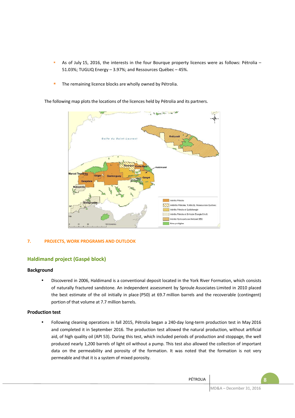- As of July 15, 2016, the interests in the four Bourque property licences were as follows: Pétrolia 51.03%; TUGLIQ Energy – 3.97%; and Ressources Québec – 45%.
- **The remaining licence blocks are wholly owned by Pétrolia.**

The following map plots the locations of the licences held by Pétrolia and its partners.



# **7. PROJECTS, WORK PROGRAMS AND OUTLOOK**

# **Haldimand project (Gaspé block)**

## **Background**

• Discovered in 2006, Haldimand is a conventional deposit located in the York River Formation, which consists of naturally fractured sandstone. An independent assessment by Sproule Associates Limited in 2010 placed the best estimate of the oil initially in place (P50) at 69.7 million barrels and the recoverable (contingent) portion of that volume at 7.7 million barrels.

## **Production test**

• Following cleaning operations in fall 2015, Pétrolia began a 240-day long-term production test in May 2016 and completed it in September 2016. The production test allowed the natural production, without artificial aid, of high quality oil (API 53). During this test, which included periods of production and stoppage, the well produced nearly 1,200 barrels of light oil without a pump. This test also allowed the collection of important data on the permeability and porosity of the formation. It was noted that the formation is not very permeable and that it is a system of mixed porosity.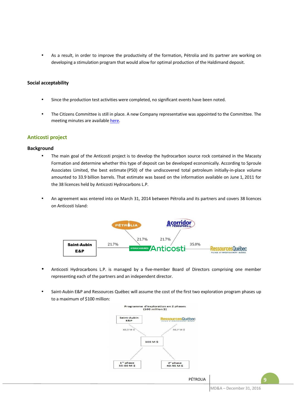• As a result, in order to improve the productivity of the formation, Pétrolia and its partner are working on developing a stimulation program that would allow for optimal production of the Haldimand deposit.

## **Social acceptability**

- Since the production test activities were completed, no significant events have been noted.
- The Citizens Committee is still in place. A new Company representative was appointed to the Committee. The meeting minutes are available here.

## **Anticosti project**

#### **Background**

- The main goal of the Anticosti project is to develop the hydrocarbon source rock contained in the Macasty Formation and determine whether this type of deposit can be developed economically. According to Sproule Associates Limited, the best estimate (P50) of the undiscovered total petroleum initially-in-place volume amounted to 33.9 billion barrels. That estimate was based on the information available on June 1, 2011 for the 38 licences held by Anticosti Hydrocarbons L.P.
- An agreement was entered into on March 31, 2014 between Pétrolia and its partners and covers 38 licences on Anticosti Island:



- Anticosti Hydrocarbons L.P. is managed by a five-member Board of Directors comprising one member representing each of the partners and an independent director.
- Saint-Aubin E&P and Ressources Québec will assume the cost of the first two exploration program phases up to a maximum of \$100 million:



MD&A – December 31, 2016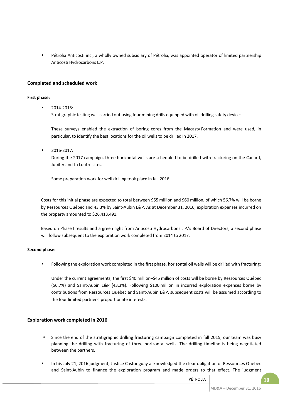• Pétrolia Anticosti inc., a wholly owned subsidiary of Pétrolia, was appointed operator of limited partnership Anticosti Hydrocarbons L.P.

## **Completed and scheduled work**

#### **First phase:**

• 2014-2015:

Stratigraphic testing was carried out using four mining drills equipped with oil drilling safety devices.

These surveys enabled the extraction of boring cores from the Macasty Formation and were used, in particular, to identify the best locations for the oil wells to be drilled in 2017.

• 2016-2017:

During the 2017 campaign, three horizontal wells are scheduled to be drilled with fracturing on the Canard, Jupiter and La Loutre sites.

Some preparation work for well drilling took place in fall 2016.

Costs for this initial phase are expected to total between \$55 million and \$60 million, of which 56.7% will be borne by Ressources Québec and 43.3% by Saint-Aubin E&P. As at December 31, 2016, exploration expenses incurred on the property amounted to \$26,413,491.

Based on Phase I results and a green light from Anticosti Hydrocarbons L.P.'s Board of Directors, a second phase will follow subsequent to the exploration work completed from 2014 to 2017.

## **Second phase:**

• Following the exploration work completed in the first phase, horizontal oil wells will be drilled with fracturing;

Under the current agreements, the first \$40 million–\$45 million of costs will be borne by Ressources Québec (56.7%) and Saint-Aubin E&P (43.3%). Following \$100 million in incurred exploration expenses borne by contributions from Ressources Québec and Saint-Aubin E&P, subsequent costs will be assumed according to the four limited partners' proportionate interests.

## **Exploration work completed in 2016**

- Since the end of the stratigraphic drilling fracturing campaign completed in fall 2015, our team was busy planning the drilling with fracturing of three horizontal wells. The drilling timeline is being negotiated between the partners.
- In his July 21, 2016 judgment, Justice Castonguay acknowledged the clear obligation of Ressources Québec and Saint-Aubin to finance the exploration program and made orders to that effect. The judgment

PÉTROLIA **10**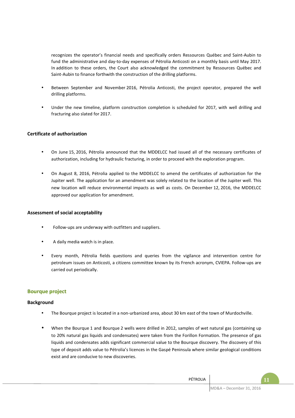recognizes the operator's financial needs and specifically orders Ressources Québec and Saint-Aubin to fund the administrative and day-to-day expenses of Pétrolia Anticosti on a monthly basis until May 2017. In addition to these orders, the Court also acknowledged the commitment by Ressources Québec and Saint-Aubin to finance forthwith the construction of the drilling platforms.

- Between September and November 2016, Pétrolia Anticosti, the project operator, prepared the well drilling platforms.
- Under the new timeline, platform construction completion is scheduled for 2017, with well drilling and fracturing also slated for 2017.

# **Certificate of authorization**

- On June 15, 2016, Pétrolia announced that the MDDELCC had issued all of the necessary certificates of authorization, including for hydraulic fracturing, in order to proceed with the exploration program.
- On August 8, 2016, Pétrolia applied to the MDDELCC to amend the certificates of authorization for the Jupiter well. The application for an amendment was solely related to the location of the Jupiter well. This new location will reduce environmental impacts as well as costs. On December 12, 2016, the MDDELCC approved our application for amendment.

## **Assessment of social acceptability**

- Follow-ups are underway with outfitters and suppliers.
- A daily media watch is in place.
- Every month, Pétrolia fields questions and queries from the vigilance and intervention centre for petroleum issues on Anticosti, a citizens committee known by its French acronym, CVIEPA. Follow-ups are carried out periodically.

# **Bourque project**

## **Background**

- The Bourque project is located in a non-urbanized area, about 30 km east of the town of Murdochville.
- When the Bourque 1 and Bourque 2 wells were drilled in 2012, samples of wet natural gas (containing up to 20% natural gas liquids and condensates) were taken from the Forillon Formation. The presence of gas liquids and condensates adds significant commercial value to the Bourque discovery. The discovery of this type of deposit adds value to Pétrolia's licences in the Gaspé Peninsula where similar geological conditions exist and are conducive to new discoveries.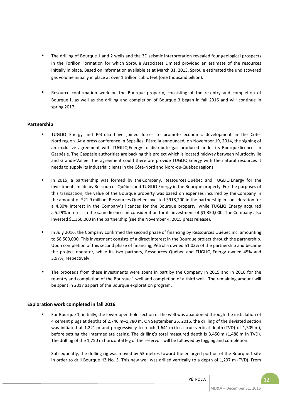- The drilling of Bourque 1 and 2 wells and the 3D seismic interpretation revealed four geological prospects in the Forillon Formation for which Sproule Associates Limited provided an estimate of the resources initially in place. Based on information available as at March 31, 2013, Sproule estimated the undiscovered gas volume initially in place at over 1 trillion cubic feet (one thousand billion).
- Resource confirmation work on the Bourque property, consisting of the re-entry and completion of Bourque 1, as well as the drilling and completion of Bourque 3 began in fall 2016 and will continue in spring 2017.

# **Partnership**

- TUGLIQ Energy and Pétrolia have joined forces to promote economic development in the Côte-Nord region. At a press conference in Sept-Îles, Pétrolia announced, on November 19, 2014, the signing of an exclusive agreement with TUGLIQ Energy to distribute gas produced under its Bourque licences in Gaspésie. The Gaspésie authorities are backing this project which is located midway between Murdochville and Grande-Vallée. The agreement could therefore provide TUGLIQ Energy with the natural resources it needs to supply its industrial clients in the Côte-Nord and Nord-du-Québec regions.
- In 2015, a partnership was formed by the Company, Ressources Québec and TUGLIQ Energy for the investments made by Ressources Québec and TUGLIQ Energy in the Bourque property. For the purposes of this transaction, the value of the Bourque property was based on expenses incurred by the Company in the amount of \$21.9 million. Ressources Québec invested \$918,200 in the partnership in consideration for a 4.80% interest in the Company's licences for the Bourque property, while TUGLIQ Energy acquired a 5.29% interest in the same licences in consideration for its investment of \$1,350,000. The Company also invested \$1,350,000 in the partnership (see the November 4, 2015 press release).
- In July 2016, the Company confirmed the second phase of financing by Ressources Québec inc. amounting to \$8,500,000. This investment consists of a direct interest in the Bourque project through the partnership. Upon completion of this second phase of financing, Pétrolia owned 51.03% of the partnership and became the project operator, while its two partners, Ressources Québec and TUGLIQ Energy owned 45% and 3.97%, respectively.
- The proceeds from these investments were spent in part by the Company in 2015 and in 2016 for the re-entry and completion of the Bourque 1 well and completion of a third well. The remaining amount will be spent in 2017 as part of the Bourque exploration program.

# **Exploration work completed in fall 2016**

• For Bourque 1, initially, the lower open hole section of the well was abandoned through the installation of 4 cement plugs at depths of 2,746 m–1,780 m. On September 25, 2016, the drilling of the deviated section was initiated at 1,221 m and progressively to reach 1,641 m (to a true vertical depth (TVD) of 1,509 m), before setting the intermediate casing. The drilling's total measured depth is 3,450 m (1,488 m in TVD). The drilling of the 1,750 m horizontal leg of the reservoir will be followed by logging and completion.

Subsequently, the drilling rig was moved by 53 metres toward the enlarged portion of the Bourque 1 site in order to drill Bourque HZ No. 3. This new well was drilled vertically to a depth of 1,297 m (TVD). From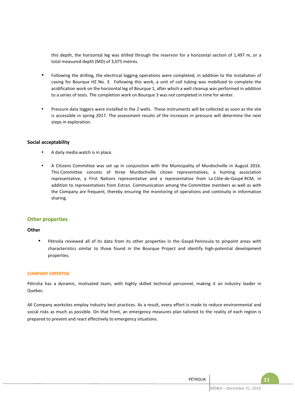this depth, the horizontal leg was drilled through the reservoir for a horizontal section of 1,497 m, or a total measured depth (MD) of 3,075 metres.

- Following the drilling, the electrical logging operations were completed, in addition to the installation of casing for Bourque HZ No. 3. Following this work, a unit of coil tubing was mobilized to complete the acidification work on the horizontal leg of Bourque 1, after which a well cleanup was performed in addition to a series of tests. The completion work on Bourque 3 was not completed in time for winter.
- Pressure data loggers were installed in the 2 wells. These instruments will be collected as soon as the site is accessible in spring 2017. The assessment results of the increases in pressure will determine the next steps in exploration.

## **Social acceptability**

- A daily media watch is in place.
- A Citizens Committee was set up in conjunction with the Municipality of Murdochville in August 2016. This Committee consists of three Murdochville citizen representatives, a hunting association representative, a First Nations representative and a representative from La Côte-de-Gaspé RCM, in addition to representatives from Estran. Communication among the Committee members as well as with the Company are frequent, thereby ensuring the monitoring of operations and continuity in information sharing.

# **Other properties**

## **Other**

Pétrolia reviewed all of its data from its other properties in the Gaspé Peninsula to pinpoint areas with characteristics similar to those found in the Bourque Project and identify high-potential development properties.

## **COMPANY EXPERTISE**

Pétrolia has a dynamic, motivated team, with highly skilled technical personnel, making it an industry leader in Quebec.

All Company worksites employ industry best practices. As a result, every effort is made to reduce environmental and social risks as much as possible. On that front, an emergency measures plan tailored to the reality of each region is prepared to prevent and react effectively to emergency situations.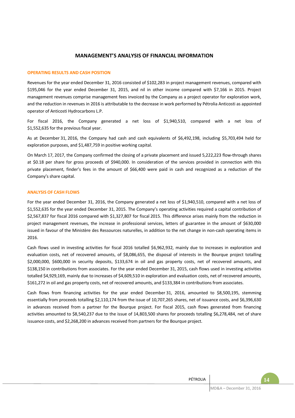# **MANAGEMENT'S ANALYSIS OF FINANCIAL INFORMATION**

#### **OPERATING RESULTS AND CASH POSITION**

Revenues for the year ended December 31, 2016 consisted of \$102,283 in project management revenues, compared with \$195,046 for the year ended December 31, 2015, and nil in other income compared with \$7,166 in 2015. Project management revenues comprise management fees invoiced by the Company as a project operator for exploration work, and the reduction in revenues in 2016 is attributable to the decrease in work performed by Pétrolia Anticosti as appointed operator of Anticosti Hydrocarbons L.P.

For fiscal 2016, the Company generated a net loss of \$1,940,510, compared with a net loss of \$1,552,635 for the previous fiscal year.

As at December 31, 2016, the Company had cash and cash equivalents of \$6,492,198, including \$5,703,494 held for exploration purposes, and \$1,487,759 in positive working capital.

On March 17, 2017, the Company confirmed the closing of a private placement and issued 5,222,223 flow-through shares at \$0.18 per share for gross proceeds of \$940,000. In consideration of the services provided in connection with this private placement, finder's fees in the amount of \$66,400 were paid in cash and recognized as a reduction of the Company's share capital.

#### **ANALYSIS OF CASH FLOWS**

For the year ended December 31, 2016, the Company generated a net loss of \$1,940,510, compared with a net loss of \$1,552,635 for the year ended December 31, 2015. The Company's operating activities required a capital contribution of \$2,567,837 for fiscal 2016 compared with \$1,327,807 for fiscal 2015. This difference arises mainly from the reduction in project management revenues, the increase in professional services, letters of guarantee in the amount of \$630,000 issued in favour of the Ministère des Ressources naturelles, in addition to the net change in non-cash operating items in 2016.

Cash flows used in investing activities for fiscal 2016 totalled \$6,962,932, mainly due to increases in exploration and evaluation costs, net of recovered amounts, of \$8,086,655, the disposal of interests in the Bourque project totalling \$2,000,000, \$600,000 in security deposits, \$133,674 in oil and gas property costs, net of recovered amounts, and \$138,150 in contributions from associates. For the year ended December 31, 2015, cash flows used in investing activities totalled \$4,929,169, mainly due to increases of \$4,609,510 in exploration and evaluation costs, net of recovered amounts, \$161,272 in oil and gas property costs, net of recovered amounts, and \$133,384 in contributions from associates.

Cash flows from financing activities for the year ended December 31, 2016, amounted to \$8,500,195, stemming essentially from proceeds totalling \$2,110,174 from the issue of 10,707,265 shares, net of issuance costs, and \$6,396,630 in advances received from a partner for the Bourque project. For fiscal 2015, cash flows generated from financing activities amounted to \$8,540,237 due to the issue of 14,803,500 shares for proceeds totalling \$6,278,484, net of share issuance costs, and \$2,268,200 in advances received from partners for the Bourque project.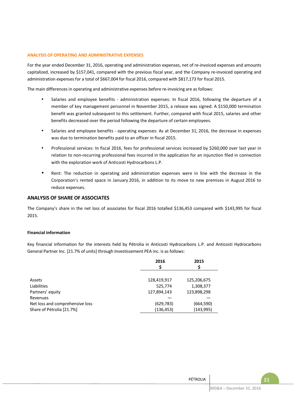## **ANALYSIS OF OPERATING AND ADMINISTRATIVE EXPENSES**

For the year ended December 31, 2016, operating and administration expenses, net of re-invoiced expenses and amounts capitalized, increased by \$157,041, compared with the previous fiscal year, and the Company re-invoiced operating and administration expenses for a total of \$667,004 for fiscal 2016, compared with \$817,173 for fiscal 2015.

The main differences in operating and administrative expenses before re-invoicing are as follows:

- Salaries and employee benefits administration expenses: In fiscal 2016, following the departure of a member of key management personnel in November 2015, a release was signed. A \$150,000 termination benefit was granted subsequent to this settlement. Further, compared with fiscal 2015, salaries and other benefits decreased over the period following the departure of certain employees.
- Salaries and employee benefits operating expenses: As at December 31, 2016, the decrease in expenses was due to termination benefits paid to an officer in fiscal 2015.
- Professional services: In fiscal 2016, fees for professional services increased by \$260,000 over last year in relation to non-recurring professional fees incurred in the application for an injunction filed in connection with the exploration work of Anticosti Hydrocarbons L.P.
- Rent: The reduction in operating and administration expenses were in line with the decrease in the Corporation's rented space in January 2016, in addition to its move to new premises in August 2016 to reduce expenses.

## **ANALYSIS OF SHARE OF ASSOCIATES**

The Company's share in the net loss of associates for fiscal 2016 totalled \$136,453 compared with \$143,995 for fiscal 2015.

## **Financial information**

Key financial information for the interests held by Pétrolia in Anticosti Hydrocarbons L.P. and Anticosti Hydrocarbons General Partner Inc. [21.7% of units] through Investissement PEA inc. is as follows:

|                                 | 2016        | 2015        |
|---------------------------------|-------------|-------------|
|                                 | Ś           | Ś           |
|                                 |             |             |
| Assets                          | 128,419,917 | 125,206,675 |
| Liabilities                     | 525,774     | 1,308,377   |
| Partners' equity                | 127,894,143 | 123,898,298 |
| Revenues                        |             |             |
| Net loss and comprehensive loss | (629, 783)  | (664, 590)  |
| Share of Pétrolia [21.7%]       | (136,453)   | (143, 995)  |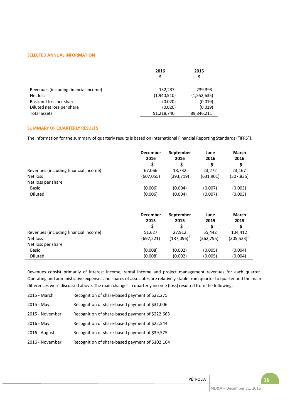#### **SELECTED ANNUAL INFORMATION**

|                                       | 2016        | 2015        |
|---------------------------------------|-------------|-------------|
|                                       |             |             |
| Revenues (including financial income) | 132,237     | 239,393     |
| Net loss                              | (1,940,510) | (1,552,635) |
| Basic net loss per share              | (0.020)     | (0.019)     |
| Diluted net loss per share            | (0.020)     | (0.019)     |
| Total assets                          | 91,218,740  | 89,846,211  |

#### **SUMMARY OF QUARTERLY RESULTS**

The information for the summary of quarterly results is based on International Financial Reporting Standards ("IFRS").

|                                       | <b>December</b><br>2016 | September<br>2016 | June<br>2016 | March<br>2016 |
|---------------------------------------|-------------------------|-------------------|--------------|---------------|
| Revenues (including financial income) | 67.066                  | 18,732            | 23.272       | 23,167        |
| Net loss                              | (607, 055)              | (393, 719)        | (631,901)    | (307, 835)    |
| Net loss per share                    |                         |                   |              |               |
| <b>Basic</b>                          | (0.006)                 | (0.004)           | (0.007)      | (0.003)       |
| <b>Diluted</b>                        | (0.006)                 | (0.004)           | (0.007)      | (0.003)       |

|                                       | <b>December</b><br>2015 | September<br>2015 | June<br>2015  | March<br>2015    |
|---------------------------------------|-------------------------|-------------------|---------------|------------------|
| Revenues (including financial income) | 51,627                  | 27.912            | 55.442        | 104.412          |
| Net loss                              | (697, 221)              | $(187,096)^1$     | $(362,795)^1$ | $(305, 523)^{1}$ |
| Net loss per share                    |                         |                   |               |                  |
| Basic                                 | (0.008)                 | (0.002)           | (0.005)       | (0.004)          |
| <b>Diluted</b>                        | (0.008)                 | (0.002)           | (0.005)       | (0.004)          |

Revenues consist primarily of interest income, rental income and project management revenues for each quarter. Operating and administrative expenses and shares of associates are relatively stable from quarter to quarter and the main differences were discussed above. The main changes in quarterly income (loss) resulted from the following:

| 2015 - March    | Recognition of share-based payment of \$22,275  |
|-----------------|-------------------------------------------------|
| 2015 - May      | Recognition of share-based payment of \$31,006  |
| 2015 - November | Recognition of share-based payment of \$222,663 |
| 2016 - May      | Recognition of share-based payment of \$22,544  |
| 2016 - August   | Recognition of share-based payment of \$39,575  |
| 2016 - November | Recognition of share-based payment of \$102,164 |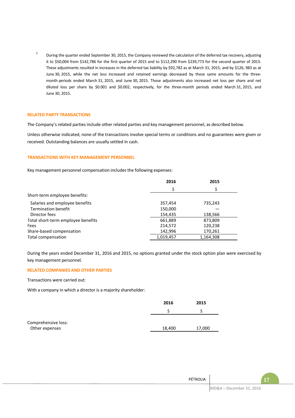1 During the quarter ended September 30, 2015, the Company reviewed the calculation of the deferred tax recovery, adjusting it to \$50,004 from \$142,786 for the first quarter of 2015 and to \$112,290 from \$239,773 for the second quarter of 2015. These adjustments resulted in increases in the deferred tax liability by \$92,782 as at March 31, 2015, and by \$126, 983 as at June 30, 2015, while the net loss increased and retained earnings decreased by these same amounts for the threemonth periods ended March 31, 2015, and June 30, 2015. Those adjustments also increased net loss per share and net diluted loss per share by \$0.001 and \$0.002, respectively, for the three-month periods ended March 31, 2015, and June 30, 2015.

#### **RELATED PARTY TRANSACTIONS**

The Company's related parties include other related parties and key management personnel, as described below.

Unless otherwise indicated, none of the transactions involve special terms or conditions and no guarantees were given or received. Outstanding balances are usually settled in cash.

#### **TRANSACTIONS WITH KEY MANAGEMENT PERSONNEL**

Key management personnel compensation includes the following expenses:

|                                    | 2016      | 2015      |
|------------------------------------|-----------|-----------|
|                                    | \$        | \$        |
| Short-term employee benefits:      |           |           |
| Salaries and employee benefits     | 357,454   | 735,243   |
| Termination benefit                | 150,000   |           |
| Director fees                      | 154,435   | 138,566   |
| Total short-term employee benefits | 661,889   | 873,809   |
| Fees                               | 214,572   | 120,238   |
| Share-based compensation           | 142,996   | 170,261   |
| Total compensation                 | 1,019,457 | 1,164,308 |

During the years ended December 31, 2016 and 2015, no options granted under the stock option plan were exercised by key management personnel.

#### **RELATED COMPANIES AND OTHER PARTIES**

Transactions were carried out:

With a company in which a director is a majority shareholder:

|                                       | 2016   | 2015   |
|---------------------------------------|--------|--------|
|                                       |        |        |
| Comprehensive loss:<br>Other expenses | 18,400 | 17,000 |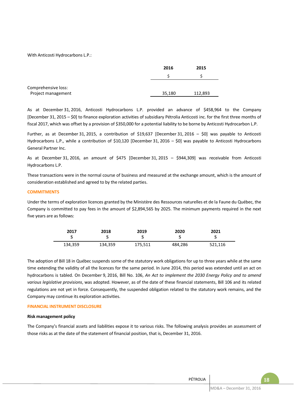With Anticosti Hydrocarbons L.P.:

|                                           | 2016   | 2015    |
|-------------------------------------------|--------|---------|
|                                           |        |         |
| Comprehensive loss:<br>Project management | 35,180 | 112,893 |

As at December 31, 2016, Anticosti Hydrocarbons L.P. provided an advance of \$458,964 to the Company [December 31, 2015 – \$0] to finance exploration activities of subsidiary Pétrolia Anticosti inc. for the first three months of fiscal 2017, which was offset by a provision of \$350,000 for a potential liability to be borne by Anticosti Hydrocarbon L.P.

Further, as at December 31, 2015, a contribution of \$19,637 [December 31, 2016 – \$0] was payable to Anticosti Hydrocarbons L.P., while a contribution of \$10,120 [December 31, 2016 – \$0] was payable to Anticosti Hydrocarbons General Partner Inc.

As at December 31, 2016, an amount of \$475 [December 31, 2015 – \$944,309] was receivable from Anticosti Hydrocarbons L.P.

These transactions were in the normal course of business and measured at the exchange amount, which is the amount of consideration established and agreed to by the related parties.

## **COMMITMENTS**

Under the terms of exploration licences granted by the Ministère des Ressources naturelles et de la Faune du Québec, the Company is committed to pay fees in the amount of \$2,894,565 by 2025. The minimum payments required in the next five years are as follows:

| 2017    | 2018<br>J | 2019    | 2020<br>J | 2021    |
|---------|-----------|---------|-----------|---------|
| 134,359 | 134,359   | 175,511 | 484,286   | 521,116 |

The adoption of Bill 18 in Québec suspends some of the statutory work obligations for up to three years while at the same time extending the validity of all the licences for the same period. In June 2014, this period was extended until an act on hydrocarbons is tabled. On December 9, 2016, Bill No. 106, *An Act to implement the 2030 Energy Policy and to amend various legislative provisions*, was adopted. However, as of the date of these financial statements, Bill 106 and its related regulations are not yet in force. Consequently, the suspended obligation related to the statutory work remains, and the Company may continue its exploration activities.

## **FINANCIAL INSTRUMENT DISCLOSURE**

## **Risk management policy**

The Company's financial assets and liabilities expose it to various risks. The following analysis provides an assessment of those risks as at the date of the statement of financial position, that is, December 31, 2016.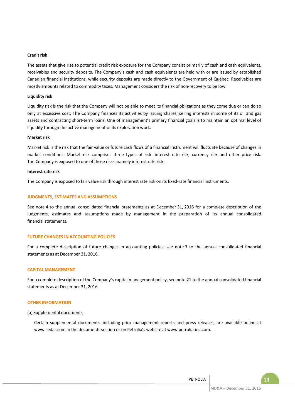#### **Credit risk**

The assets that give rise to potential credit risk exposure for the Company consist primarily of cash and cash equivalents, receivables and security deposits. The Company's cash and cash equivalents are held with or are issued by established Canadian financial institutions, while security deposits are made directly to the Government of Québec. Receivables are mostly amounts related to commodity taxes. Management considers the risk of non-recovery to be low.

#### **Liquidity risk**

Liquidity risk is the risk that the Company will not be able to meet its financial obligations as they come due or can do so only at excessive cost. The Company finances its activities by issuing shares, selling interests in some of its oil and gas assets and contracting short-term loans. One of management's primary financial goals is to maintain an optimal level of liquidity through the active management of its exploration work.

#### **Market risk**

Market risk is the risk that the fair value or future cash flows of a financial instrument will fluctuate because of changes in market conditions. Market risk comprises three types of risk: interest rate risk, currency risk and other price risk. The Company is exposed to one of those risks, namely interest rate risk.

#### **Interest rate risk**

The Company is exposed to fair value risk through interest rate risk on its fixed-rate financial instruments.

#### **JUDGMENTS, ESTIMATES AND ASSUMPTIONS**

See note 4 to the annual consolidated financial statements as at December 31, 2016 for a complete description of the judgments, estimates and assumptions made by management in the preparation of its annual consolidated financial statements.

#### **FUTURE CHANGES IN ACCOUNTING POLICIES**

For a complete description of future changes in accounting policies, see note 3 to the annual consolidated financial statements as at December 31, 2016.

#### **CAPITAL MANAGEMENT**

For a complete description of the Company's capital management policy, see note 21 to the annual consolidated financial statements as at December 31, 2016.

#### **OTHER INFORMATION**

#### (a) Supplemental documents

Certain supplemental documents, including prior management reports and press releases, are available online at www.sedar.com in the documents section or on Pétrolia's website at www.petrolia-inc.com.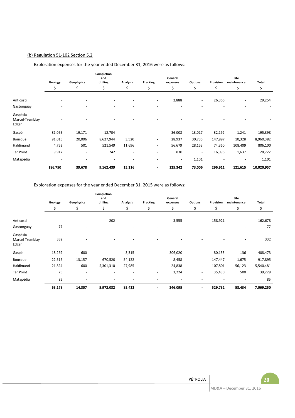## (b) Regulation 51-102 Section 5.2

#### **Geology Geophysics Completion**  .<br>and<br>drilling **drilling Analysis Fracking General Options** Provision **Site maintenance Total**  \$ \$ \$ \$ \$ \$ \$ \$ \$ \$ Anticosti - - - - - 2,888 - 26,366 - 29,254 Gastonguay in the second control of the second control of the second control of the second control of the second control of the second control of the second control of the second control of the second control of the second Gaspésia Marcel-Tremblay Edgar - - - - - - - - - - Gaspé 81,065 19,171 12,704 - - 36,008 13,017 32,192 1,241 195,398 Bourque 91,015 20,006 8,627,944 3,520 - 28,937 30,735 147,897 10,328 8,960,382 Haldimand 4,753 501 521,549 11,696 - 56,679 28,153 74,360 108,409 806,100 Tar Point 9,917 - 242 - - 830 - 16,096 1,637 28,722 Matapédia - - - - - - 1,101 - - 1,101 **186,750 39,678 9,162,439 15,216 - 125,342 73,006 296,911 121,615 10,020,957**

# Exploration expenses for the year ended December 31, 2016 were as follows:

Exploration expenses for the year ended December 31, 2015 were as follows:

|                                      | Geology<br>Geophysics |                          | Completion<br>and<br><b>Fracking</b><br>drilling<br><b>Analysis</b> |                |                          | General<br>expenses | <b>Options</b>           | Provision | Total  |           |
|--------------------------------------|-----------------------|--------------------------|---------------------------------------------------------------------|----------------|--------------------------|---------------------|--------------------------|-----------|--------|-----------|
|                                      | \$                    | \$                       | \$                                                                  | \$             | \$                       | \$                  | \$                       | \$        | \$     | \$        |
| Anticosti                            | ۰                     | $\overline{\phantom{a}}$ | 202                                                                 | ٠              | $\sim$                   | 3,555               | $\sim$                   | 158,921   | ٠      | 162,678   |
| Gastonguay                           | 77                    |                          | ۰                                                                   |                |                          |                     |                          |           |        | 77        |
| Gaspésia<br>Marcel-Tremblay<br>Edgar | 332                   |                          |                                                                     |                |                          |                     |                          |           |        | 332       |
| Gaspé                                | 18,269                | 600                      | $\overline{\phantom{a}}$                                            | 3,315          | $\sim$                   | 306,020             | $\overline{\phantom{a}}$ | 80,133    | 136    | 408,473   |
| Bourque                              | 22,516                | 13,157                   | 670,520                                                             | 54,122         | $\sim$                   | 8,458               | $\overline{\phantom{a}}$ | 147,447   | 1,675  | 917,895   |
| Haldimand                            | 21,824                | 600                      | 5,301,310                                                           | 27,985         | $\sim$                   | 24,838              | $\sim$                   | 107,801   | 56,123 | 5,540,481 |
| <b>Tar Point</b>                     | 75                    | $\overline{\phantom{a}}$ | $\overline{\phantom{0}}$                                            | $\blacksquare$ | $\sim$                   | 3,224               | $\overline{\phantom{a}}$ | 35,430    | 500    | 39,229    |
| Matapédia                            | 85                    |                          |                                                                     |                |                          |                     |                          |           |        | 85        |
|                                      | 63,178                | 14,357                   | 5,972,032                                                           | 85,422         | $\overline{\phantom{a}}$ | 346,095             | $\overline{\phantom{a}}$ | 529,732   | 58,434 | 7,069,250 |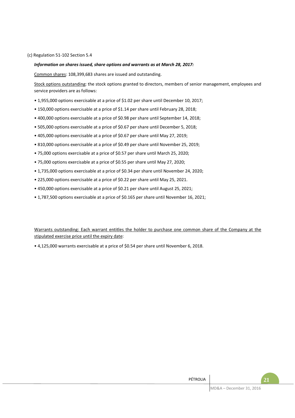#### (c) Regulation 51-102 Section 5.4

## *Information on shares issued, share options and warrants as at March 28, 2017:*

Common shares: 108,399,683 shares are issued and outstanding.

Stock options outstanding: the stock options granted to directors, members of senior management, employees and service providers are as follows:

- 1,955,000 options exercisable at a price of \$1.02 per share until December 10, 2017;
- 150,000 options exercisable at a price of \$1.14 per share until February 28, 2018;
- 400,000 options exercisable at a price of \$0.98 per share until September 14, 2018;
- 505,000 options exercisable at a price of \$0.67 per share until December 5, 2018;
- 405,000 options exercisable at a price of \$0.67 per share until May 27, 2019;
- 810,000 options exercisable at a price of \$0.49 per share until November 25, 2019;
- 75,000 options exercisable at a price of \$0.57 per share until March 25, 2020;
- 75,000 options exercisable at a price of \$0.55 per share until May 27, 2020;
- 1,735,000 options exercisable at a price of \$0.34 per share until November 24, 2020;
- 225,000 options exercisable at a price of \$0.22 per share until May 25, 2021.
- 450,000 options exercisable at a price of \$0.21 per share until August 25, 2021;
- 1,787,500 options exercisable at a price of \$0.165 per share until November 16, 2021;

Warrants outstanding: Each warrant entitles the holder to purchase one common share of the Company at the stipulated exercise price until the expiry date:

• 4,125,000 warrants exercisable at a price of \$0.54 per share until November 6, 2018.